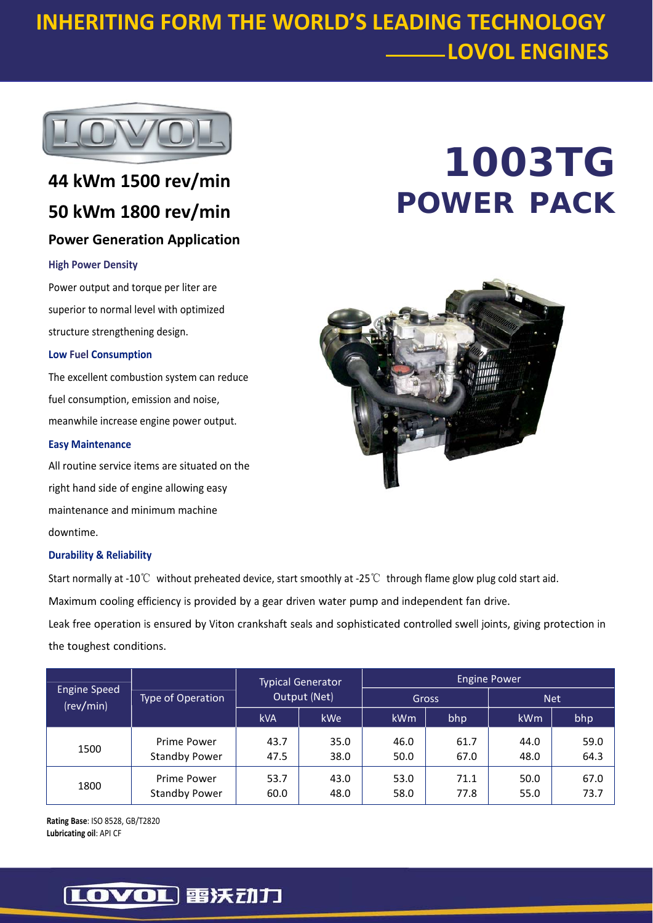## **INHERITING FORM THE WORLD'S LEADING TECHNOLOGY LOVOL ENGINES**



## **44 kWm 1500 rev/min 50 kWm 1800 rev/min Power Generation Application**

#### **High Power Density**

Power output and torque per liter are superior to normal level with optimized structure strengthening design.

#### **Low Fuel Consumption**

The excellent combustion system can reduce fuel consumption, emission and noise, meanwhile increase engine power output.

#### **Easy Maintenance**

All routine service items are situated on the right hand side of engine allowing easy maintenance and minimum machine downtime.

#### **Durability & Reliability**

Start normally at ‐10℃ without preheated device, start smoothly at ‐25℃ through flame glow plug cold start aid.

Maximum cooling efficiency is provided by a gear driven water pump and independent fan drive.

Leak free operation is ensured by Viton crankshaft seals and sophisticated controlled swell joints, giving protection in the toughest conditions.

| <b>Engine Speed</b><br>(rev/min) | Type of Operation                   | <b>Typical Generator</b><br>Output (Net) |              | <b>Engine Power</b> |              |              |              |
|----------------------------------|-------------------------------------|------------------------------------------|--------------|---------------------|--------------|--------------|--------------|
|                                  |                                     |                                          |              | Gross               |              | <b>Net</b>   |              |
|                                  |                                     | <b>kVA</b>                               | <b>kWe</b>   | <b>kWm</b>          | bhp          | kWm          | bhp          |
| 1500                             | Prime Power<br><b>Standby Power</b> | 43.7<br>47.5                             | 35.0<br>38.0 | 46.0<br>50.0        | 61.7<br>67.0 | 44.0<br>48.0 | 59.0<br>64.3 |
| 1800                             | Prime Power<br><b>Standby Power</b> | 53.7<br>60.0                             | 43.0<br>48.0 | 53.0<br>58.0        | 71.1<br>77.8 | 50.0<br>55.0 | 67.0<br>73.7 |

**Rating Base**: ISO 8528, GB/T2820 **Lubricating oil**: API CF

# **1003TG POWER PACK**



### [LOVOL] 雷沃动力